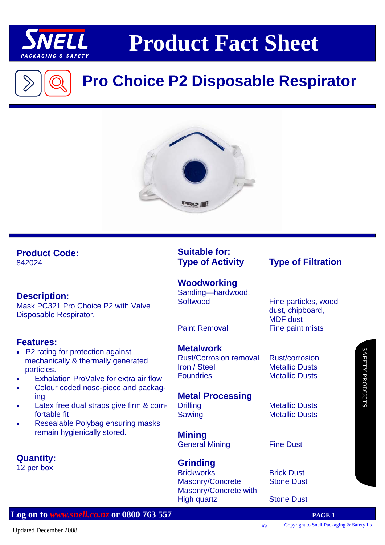

## **Product Fact Sheet**

### **Pro Choice P2 Disposable Respirator**



#### **Product Code:**

842024

#### **Description:**

Mask PC321 Pro Choice P2 with Valve Disposable Respirator.

#### **Features:**

- P2 rating for protection against mechanically & thermally generated particles.
- Exhalation ProValve for extra air flow
- Colour coded nose-piece and packaging
- Latex free dual straps give firm & comfortable fit
- Resealable Polybag ensuring masks remain hygienically stored.

**Quantity:** 

12 per box

### **Suitable for:**

**Woodworking**  Sanding—hardwood, Softwood Fine particles, wood

#### **Metalwork**

Rust/Corrosion removal Rust/corrosion **Iron / Steel Metallic Dusts** Foundries Metallic Dusts

#### **Metal Processing**

**Mining**  General Mining Fine Dust

#### **Grinding**

**Brickworks** Brick Dust Masonry/Concrete Stone Dust Masonry/Concrete with High quartz **Stone Dust** 

### **Type of Activity Type of Filtration**

 dust, chipboard, MDF dust Paint Removal Fine paint mists

Drilling Metallic Dusts Sawing Metallic Dusts

# SAFETY PRODUCTS **AFETY PRODUCTS**

#### **Log on to** *www.snell.co.nz* **or 0800 763 557 PAGE 1**